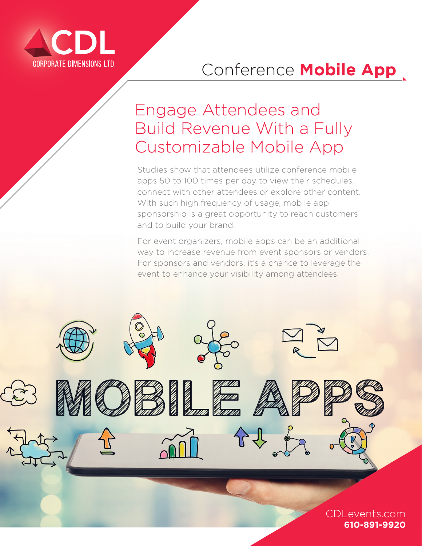

## Conference **Mobile App**

## Engage Attendees and Build Revenue With a Fully Customizable Mobile App

Studies show that attendees utilize conference mobile apps 50 to 100 times per day to view their schedules, connect with other attendees or explore other content. With such high frequency of usage, mobile app sponsorship is a great opportunity to reach customers and to build your brand.

For event organizers, mobile apps can be an additional way to increase revenue from event sponsors or vendors. For sponsors and vendors, it's a chance to leverage the event to enhance your visibility among attendees.